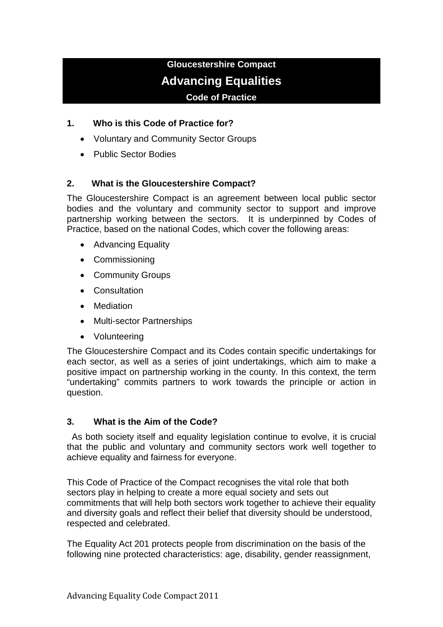# **Gloucestershire Compact Advancing Equalities Code of Practice**

## **1. Who is this Code of Practice for?**

- Voluntary and Community Sector Groups
- Public Sector Bodies

## **2. What is the Gloucestershire Compact?**

The Gloucestershire Compact is an agreement between local public sector bodies and the voluntary and community sector to support and improve partnership working between the sectors. It is underpinned by Codes of Practice, based on the national Codes, which cover the following areas:

- Advancing Equality
- Commissioning
- Community Groups
- Consultation
- Mediation
- Multi-sector Partnerships
- Volunteering

The Gloucestershire Compact and its Codes contain specific undertakings for each sector, as well as a series of joint undertakings, which aim to make a positive impact on partnership working in the county. In this context, the term "undertaking" commits partners to work towards the principle or action in question.

#### **3. What is the Aim of the Code?**

As both society itself and equality legislation continue to evolve, it is crucial that the public and voluntary and community sectors work well together to achieve equality and fairness for everyone.

This Code of Practice of the Compact recognises the vital role that both sectors play in helping to create a more equal society and sets out commitments that will help both sectors work together to achieve their equality and diversity goals and reflect their belief that diversity should be understood, respected and celebrated.

The Equality Act 201 protects people from discrimination on the basis of the following nine protected characteristics: age, disability, gender reassignment,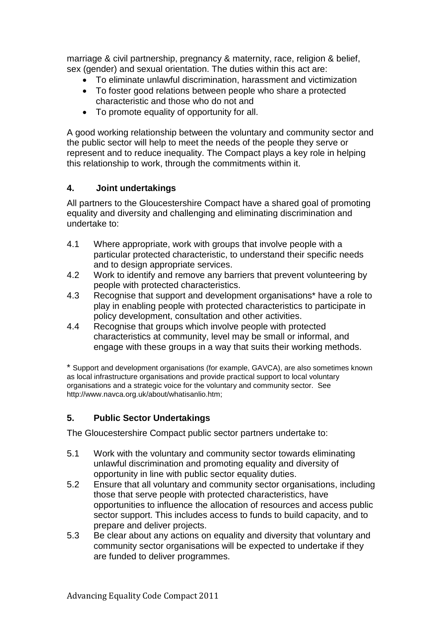marriage & civil partnership, pregnancy & maternity, race, religion & belief, sex (gender) and sexual orientation. The duties within this act are:

- To eliminate unlawful discrimination, harassment and victimization
- To foster good relations between people who share a protected characteristic and those who do not and
- To promote equality of opportunity for all.

A good working relationship between the voluntary and community sector and the public sector will help to meet the needs of the people they serve or represent and to reduce inequality. The Compact plays a key role in helping this relationship to work, through the commitments within it.

## **4. Joint undertakings**

All partners to the Gloucestershire Compact have a shared goal of promoting equality and diversity and challenging and eliminating discrimination and undertake to:

- 4.1 Where appropriate, work with groups that involve people with a particular protected characteristic, to understand their specific needs and to design appropriate services.
- 4.2 Work to identify and remove any barriers that prevent volunteering by people with protected characteristics.
- 4.3 Recognise that support and development organisations\* have a role to play in enabling people with protected characteristics to participate in policy development, consultation and other activities.
- 4.4 Recognise that groups which involve people with protected characteristics at community, level may be small or informal, and engage with these groups in a way that suits their working methods.

\* Support and development organisations (for example, GAVCA), are also sometimes known as local infrastructure organisations and provide practical support to local voluntary organisations and a strategic voice for the voluntary and community sector. See http://www.navca.org.uk/about/whatisanlio.htm;

## **5. Public Sector Undertakings**

The Gloucestershire Compact public sector partners undertake to:

- 5.1 Work with the voluntary and community sector towards eliminating unlawful discrimination and promoting equality and diversity of opportunity in line with public sector equality duties.
- 5.2 Ensure that all voluntary and community sector organisations, including those that serve people with protected characteristics, have opportunities to influence the allocation of resources and access public sector support. This includes access to funds to build capacity, and to prepare and deliver projects.
- 5.3 Be clear about any actions on equality and diversity that voluntary and community sector organisations will be expected to undertake if they are funded to deliver programmes.